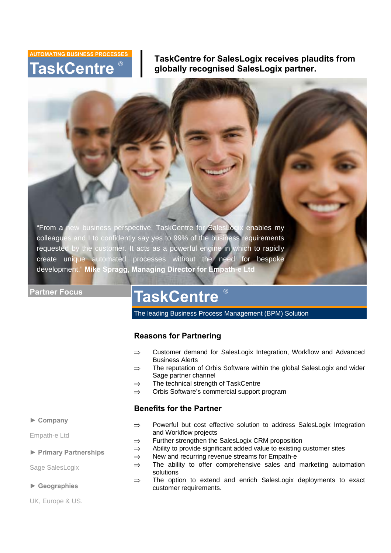# **TaskCentre AUTOMATING BUSINESS PROCESSE** ®

**TaskCentre for SalesLogix receives plaudits from globally recognised SalesLogix partner.** 

"From a new business perspective, TaskCentre for SalesLogix enables my colleagues and I to confidently say yes to 99% of the business requirements requested by the customer. It acts as a powerful engine in which to rapidly create unique automated processes without the need for bespoke development." **Mike Spragg, Managing Director for Empath-e Ltd** 

### **Partner Focus**

# **TaskCentre**

The leading Business Process Management (BPM) Solution

®

# **Reasons for Partnering**

- ⇒ Customer demand for SalesLogix Integration, Workflow and Advanced Business Alerts
- ⇒ The reputation of Orbis Software within the global SalesLogix and wider Sage partner channel
- ⇒ The technical strength of TaskCentre
- ⇒ Orbis Software's commercial support program

# **Benefits for the Partner**

# **► Company**

Empath-e Ltd

### **► Primary Partnerships**

Sage SalesLogix

### **► Geographies**

UK, Europe & US.

- ⇒ Powerful but cost effective solution to address SalesLogix Integration and Workflow projects
- ⇒ Further strengthen the SalesLogix CRM proposition
- ⇒ Ability to provide significant added value to existing customer sites
- ⇒ New and recurring revenue streams for Empath-e
- $\Rightarrow$  The ability to offer comprehensive sales and marketing automation solutions
- ⇒ The option to extend and enrich SalesLogix deployments to exact customer requirements.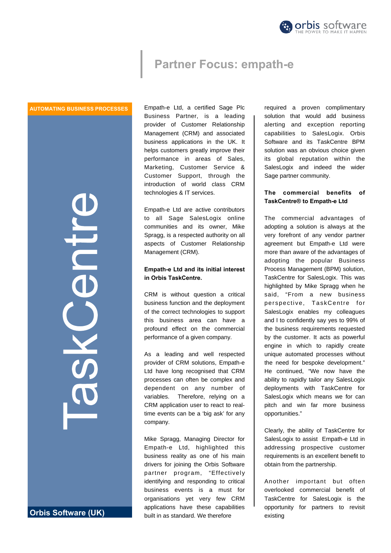

# **Partner Focus: empath-e**

#### **AUTOMATING BUSINESS PROCESSES**

ILL 

**Orbis Software (UK)** 

Empath-e Ltd, a certified Sage Plc Business Partner, is a leading provider of Customer Relationship Management (CRM) and associated business applications in the UK. It helps customers greatly improve their performance in areas of Sales, Marketing, Customer Service & Customer Support, through the introduction of world class CRM technologies & IT services.

Empath-e Ltd are active contributors to all Sage SalesLogix online communities and its owner, Mike Spragg, is a respected authority on all aspects of Customer Relationship Management (CRM).

### **Empath-e Ltd and its initial interest in Orbis TaskCentre.**

CRM is without question a critical business function and the deployment of the correct technologies to support this business area can have a profound effect on the commercial performance of a given company.

As a leading and well respected provider of CRM solutions, Empath-e Ltd have long recognised that CRM processes can often be complex and dependent on any number of variables. Therefore, relying on a CRM application user to react to realtime events can be a 'big ask' for any company.

Mike Spragg, Managing Director for Empath-e Ltd, highlighted this business reality as one of his main drivers for joining the Orbis Software partner program, "Effectively identifying and responding to critical business events is a must for organisations yet very few CRM applications have these capabilities built in as standard. We therefore

required a proven complimentary solution that would add business alerting and exception reporting capabilities to SalesLogix. Orbis Software and its TaskCentre BPM solution was an obvious choice given its global reputation within the SalesLogix and indeed the wider Sage partner community.

### **The commercial benefits of TaskCentre® to Empath-e Ltd**

The commercial advantages of adopting a solution is always at the very forefront of any vendor partner agreement but Empath-e Ltd were more than aware of the advantages of adopting the popular Business Process Management (BPM) solution, TaskCentre for SalesLogix. This was highlighted by Mike Spragg when he said, "From a new business perspective, TaskCentre for SalesLogix enables my colleagues and I to confidently say yes to 99% of the business requirements requested by the customer. It acts as powerful engine in which to rapidly create unique automated processes without the need for bespoke development." He continued, "We now have the ability to rapidly tailor any SalesLogix deployments with TaskCentre for SalesLogix which means we for can pitch and win far more business opportunities."

Clearly, the ability of TaskCentre for SalesLogix to assist Empath-e Ltd in addressing prospective customer requirements is an excellent benefit to obtain from the partnership.

Another important but often overlooked commercial benefit of TaskCentre for SalesLogix is the opportunity for partners to revisit existing